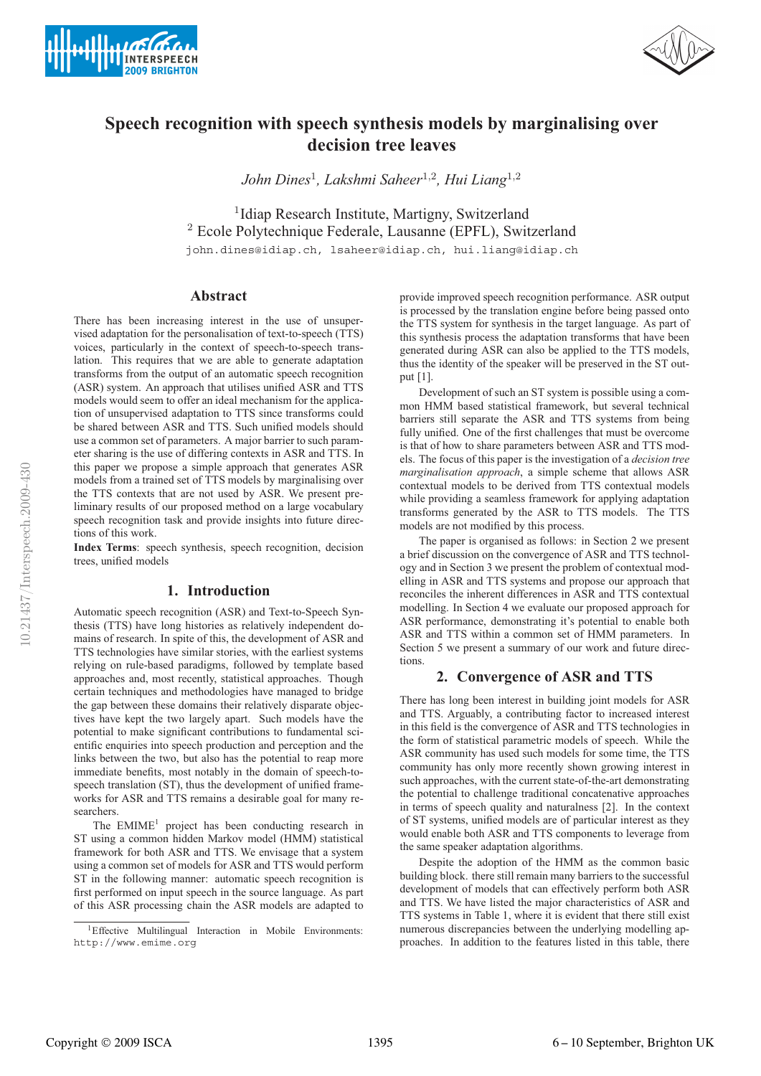



# **Speech recognition with speech synthesis models by marginalising over decision tree leaves**

*John Dines*<sup>1</sup>*, Lakshmi Saheer*<sup>1</sup>,<sup>2</sup>*, Hui Liang*<sup>1</sup>,<sup>2</sup>

<sup>1</sup>Idiap Research Institute, Martigny, Switzerland <sup>2</sup> Ecole Polytechnique Federale, Lausanne (EPFL), Switzerland john.dines@idiap.ch, lsaheer@idiap.ch, hui.liang@idiap.ch

## **Abstract**

There has been increasing interest in the use of unsupervised adaptation for the personalisation of text-to-speech (TTS) voices, particularly in the context of speech-to-speech translation. This requires that we are able to generate adaptation transforms from the output of an automatic speech recognition (ASR) system. An approach that utilises unified ASR and TTS models would seem to offer an ideal mechanism for the application of unsupervised adaptation to TTS since transforms could be shared between ASR and TTS. Such unified models should use a common set of parameters. A major barrier to such parameter sharing is the use of differing contexts in ASR and TTS. In this paper we propose a simple approach that generates ASR models from a trained set of TTS models by marginalising over the TTS contexts that are not used by ASR. We present preliminary results of our proposed method on a large vocabulary speech recognition task and provide insights into future directions of this work.

**Index Terms**: speech synthesis, speech recognition, decision trees, unified models

# **1. Introduction**

Automatic speech recognition (ASR) and Text-to-Speech Synthesis (TTS) have long histories as relatively independent domains of research. In spite of this, the development of ASR and TTS technologies have similar stories, with the earliest systems relying on rule-based paradigms, followed by template based approaches and, most recently, statistical approaches. Though certain techniques and methodologies have managed to bridge the gap between these domains their relatively disparate objectives have kept the two largely apart. Such models have the potential to make significant contributions to fundamental scientific enquiries into speech production and perception and the links between the two, but also has the potential to reap more immediate benefits, most notably in the domain of speech-tospeech translation (ST), thus the development of unified frameworks for ASR and TTS remains a desirable goal for many researchers.

The  $EMIME<sup>1</sup>$  project has been conducting research in ST using a common hidden Markov model (HMM) statistical framework for both ASR and TTS. We envisage that a system using a common set of models for ASR and TTS would perform ST in the following manner: automatic speech recognition is first performed on input speech in the source language. As part of this ASR processing chain the ASR models are adapted to provide improved speech recognition performance. ASR output is processed by the translation engine before being passed onto the TTS system for synthesis in the target language. As part of this synthesis process the adaptation transforms that have been generated during ASR can also be applied to the TTS models, thus the identity of the speaker will be preserved in the ST output [1].

Development of such an ST system is possible using a common HMM based statistical framework, but several technical barriers still separate the ASR and TTS systems from being fully unified. One of the first challenges that must be overcome is that of how to share parameters between ASR and TTS models. The focus of this paper is the investigation of a *decision tree marginalisation approach*, a simple scheme that allows ASR contextual models to be derived from TTS contextual models while providing a seamless framework for applying adaptation transforms generated by the ASR to TTS models. The TTS models are not modified by this process.

The paper is organised as follows: in Section 2 we present a brief discussion on the convergence of ASR and TTS technology and in Section 3 we present the problem of contextual modelling in ASR and TTS systems and propose our approach that reconciles the inherent differences in ASR and TTS contextual modelling. In Section 4 we evaluate our proposed approach for ASR performance, demonstrating it's potential to enable both ASR and TTS within a common set of HMM parameters. In Section 5 we present a summary of our work and future directions.

# **2. Convergence of ASR and TTS**

There has long been interest in building joint models for ASR and TTS. Arguably, a contributing factor to increased interest in this field is the convergence of ASR and TTS technologies in the form of statistical parametric models of speech. While the ASR community has used such models for some time, the TTS community has only more recently shown growing interest in such approaches, with the current state-of-the-art demonstrating the potential to challenge traditional concatenative approaches in terms of speech quality and naturalness [2]. In the context of ST systems, unified models are of particular interest as they would enable both ASR and TTS components to leverage from the same speaker adaptation algorithms.

Despite the adoption of the HMM as the common basic building block. there still remain many barriers to the successful development of models that can effectively perform both ASR and TTS. We have listed the major characteristics of ASR and TTS systems in Table 1, where it is evident that there still exist numerous discrepancies between the underlying modelling approaches. In addition to the features listed in this table, there

<sup>&</sup>lt;sup>1</sup>Effective Multilingual Interaction in Mobile Environments: http://www.emime.org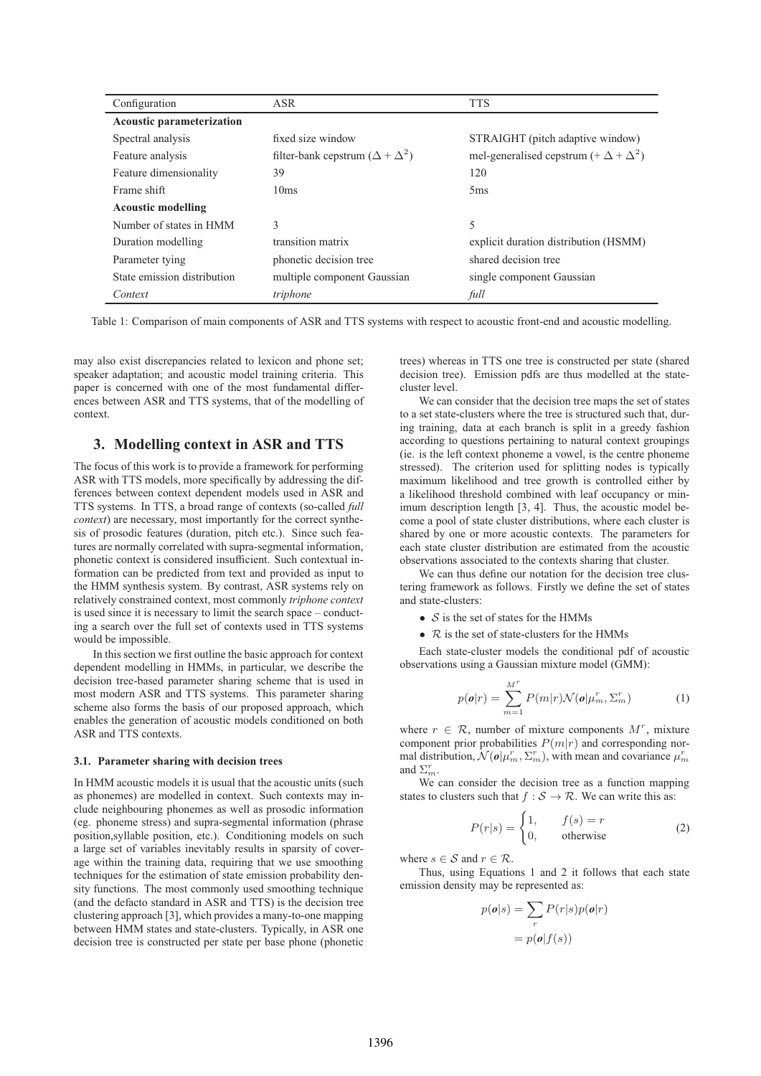| Configuration               | <b>ASR</b>                                 | <b>TTS</b>                                       |  |  |  |  |
|-----------------------------|--------------------------------------------|--------------------------------------------------|--|--|--|--|
| Acoustic parameterization   |                                            |                                                  |  |  |  |  |
| Spectral analysis           | fixed size window                          | STRAIGHT (pitch adaptive window)                 |  |  |  |  |
| Feature analysis            | filter-bank cepstrum $(\Delta + \Delta^2)$ | mel-generalised cepstrum $(+ \Delta + \Delta^2)$ |  |  |  |  |
| Feature dimensionality      | 39                                         | 120                                              |  |  |  |  |
| Frame shift                 | 10ms                                       | 5 <sub>ms</sub>                                  |  |  |  |  |
| <b>Acoustic modelling</b>   |                                            |                                                  |  |  |  |  |
| Number of states in HMM     | 3                                          | 5                                                |  |  |  |  |
| Duration modelling          | transition matrix                          | explicit duration distribution (HSMM)            |  |  |  |  |
| Parameter tying             | phonetic decision tree                     | shared decision tree                             |  |  |  |  |
| State emission distribution | multiple component Gaussian                | single component Gaussian                        |  |  |  |  |
| Context                     | triphone                                   | full                                             |  |  |  |  |

Table 1: Comparison of main components of ASR and TTS systems with respect to acoustic front-end and acoustic modelling.

may also exist discrepancies related to lexicon and phone set; speaker adaptation; and acoustic model training criteria. This paper is concerned with one of the most fundamental differences between ASR and TTS systems, that of the modelling of context.

### **3. Modelling context in ASR and TTS**

The focus of this work is to provide a framework for performing ASR with TTS models, more specifically by addressing the differences between context dependent models used in ASR and TTS systems. In TTS, a broad range of contexts (so-called *full context*) are necessary, most importantly for the correct synthesis of prosodic features (duration, pitch etc.). Since such features are normally correlated with supra-segmental information, phonetic context is considered insufficient. Such contextual information can be predicted from text and provided as input to the HMM synthesis system. By contrast, ASR systems rely on relatively constrained context, most commonly *triphone context* is used since it is necessary to limit the search space – conducting a search over the full set of contexts used in TTS systems would be impossible.

In this section we first outline the basic approach for context dependent modelling in HMMs, in particular, we describe the decision tree-based parameter sharing scheme that is used in most modern ASR and TTS systems. This parameter sharing scheme also forms the basis of our proposed approach, which enables the generation of acoustic models conditioned on both ASR and TTS contexts.

#### **3.1. Parameter sharing with decision trees**

In HMM acoustic models it is usual that the acoustic units (such as phonemes) are modelled in context. Such contexts may include neighbouring phonemes as well as prosodic information (eg. phoneme stress) and supra-segmental information (phrase position,syllable position, etc.). Conditioning models on such a large set of variables inevitably results in sparsity of coverage within the training data, requiring that we use smoothing techniques for the estimation of state emission probability density functions. The most commonly used smoothing technique (and the defacto standard in ASR and TTS) is the decision tree clustering approach [3], which provides a many-to-one mapping between HMM states and state-clusters. Typically, in ASR one decision tree is constructed per state per base phone (phonetic trees) whereas in TTS one tree is constructed per state (shared decision tree). Emission pdfs are thus modelled at the statecluster level.

We can consider that the decision tree maps the set of states to a set state-clusters where the tree is structured such that, during training, data at each branch is split in a greedy fashion according to questions pertaining to natural context groupings (ie. is the left context phoneme a vowel, is the centre phoneme stressed). The criterion used for splitting nodes is typically maximum likelihood and tree growth is controlled either by a likelihood threshold combined with leaf occupancy or minimum description length [3, 4]. Thus, the acoustic model become a pool of state cluster distributions, where each cluster is shared by one or more acoustic contexts. The parameters for each state cluster distribution are estimated from the acoustic observations associated to the contexts sharing that cluster.

We can thus define our notation for the decision tree clustering framework as follows. Firstly we define the set of states and state-clusters:

- $S$  is the set of states for the HMMs
- $R$  is the set of state-clusters for the HMMs

Each state-cluster models the conditional pdf of acoustic observations using a Gaussian mixture model (GMM):

$$
p(\boldsymbol{o}|r) = \sum_{m=1}^{M^r} P(m|r) \mathcal{N}(\boldsymbol{o}|\mu_m^r, \Sigma_m^r)
$$
 (1)

where  $r \in \mathcal{R}$ , number of mixture components  $M^r$ , mixture component prior probabilities  $P(m|r)$  and corresponding normal distribution,  $\mathcal{N}(\boldsymbol{o}|\mu_m^r, \Sigma_m^r)$ , with mean and covariance  $\mu_m^r$ and  $\Sigma_m^r$ .

We can consider the decision tree as a function mapping states to clusters such that  $f : S \to \mathcal{R}$ . We can write this as:

$$
P(r|s) = \begin{cases} 1, & f(s) = r \\ 0, & \text{otherwise} \end{cases}
$$
 (2)

where  $s \in \mathcal{S}$  and  $r \in \mathcal{R}$ .

Thus, using Equations 1 and 2 it follows that each state emission density may be represented as:

$$
p(\mathbf{o}|s) = \sum_{r} P(r|s)p(\mathbf{o}|r)
$$

$$
= p(\mathbf{o}|f(s))
$$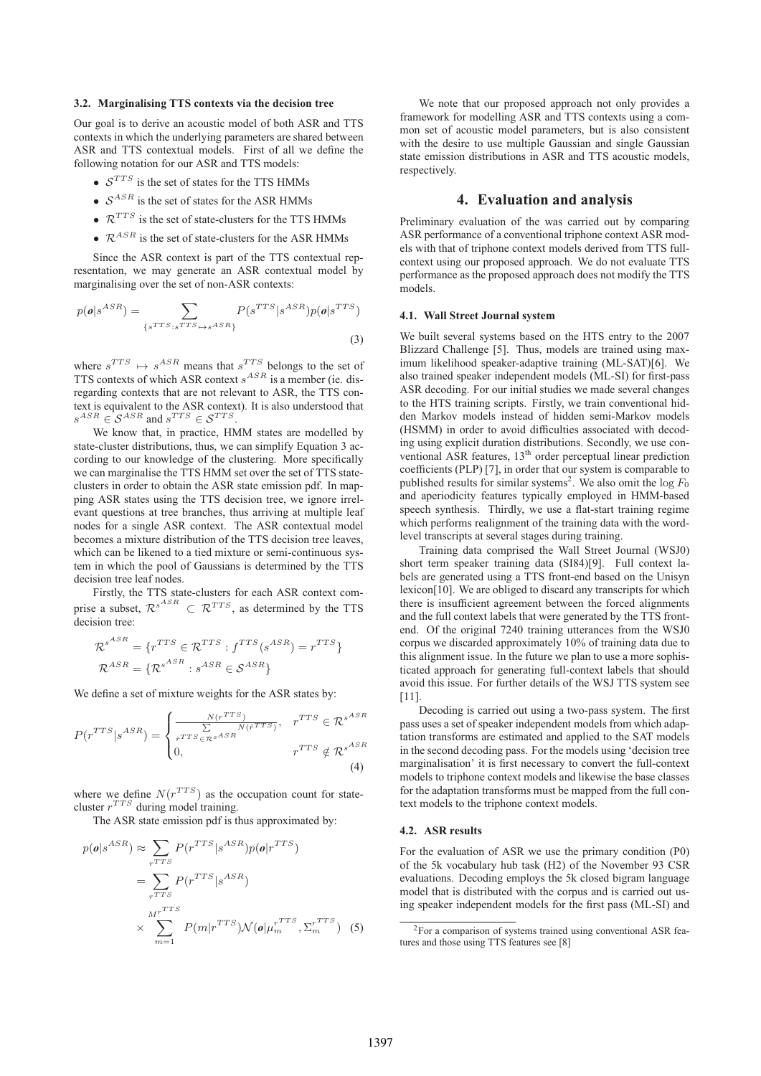#### **3.2. Marginalising TTS contexts via the decision tree**

Our goal is to derive an acoustic model of both ASR and TTS contexts in which the underlying parameters are shared between ASR and TTS contextual models. First of all we define the following notation for our ASR and TTS models:

- $S^{TTS}$  is the set of states for the TTS HMMs
- $S^{ASR}$  is the set of states for the ASR HMMs
- $\mathcal{R}^{TTS}$  is the set of state-clusters for the TTS HMMs
- $\mathcal{R}^{ASR}$  is the set of state-clusters for the ASR HMMs

Since the ASR context is part of the TTS contextual representation, we may generate an ASR contextual model by marginalising over the set of non-ASR contexts:

$$
p(\mathbf{o}|s^{ASR}) = \sum_{\{s^{TTS}: s^{TTS} \mapsto s^{ASR}\}} P(s^{TTS}|s^{ASR}) p(\mathbf{o}|s^{TTS})
$$
\n(3)

where  $s^{TTS} \mapsto s^{ASR}$  means that  $s^{TTS}$  belongs to the set of TTS contexts of which ASR context  $s^{ASR}$  is a member (ie. disregarding contexts that are not relevant to ASR, the TTS context is equivalent to the ASR context). It is also understood that  $s^{ASR} \in S^{ASR}$  and  $s^{TTS} \in S^{TTS}$ .

We know that, in practice, HMM states are modelled by state-cluster distributions, thus, we can simplify Equation 3 according to our knowledge of the clustering. More specifically we can marginalise the TTS HMM set over the set of TTS stateclusters in order to obtain the ASR state emission pdf. In mapping ASR states using the TTS decision tree, we ignore irrelevant questions at tree branches, thus arriving at multiple leaf nodes for a single ASR context. The ASR contextual model becomes a mixture distribution of the TTS decision tree leaves, which can be likened to a tied mixture or semi-continuous system in which the pool of Gaussians is determined by the TTS decision tree leaf nodes.

Firstly, the TTS state-clusters for each ASR context comprise a subset,  $\mathcal{R}^{s^{ASR}} \subset \mathcal{R}^{TTS}$ , as determined by the TTS decision tree:

$$
\mathcal{R}^{s^{ASR}} = \{r^{TTS} \in \mathcal{R}^{TTS} : f^{TTS}(s^{ASR}) = r^{TTS}\}\
$$

$$
\mathcal{R}^{ASR} = \{\mathcal{R}^{s^{ASR}} : s^{ASR} \in \mathcal{S}^{ASR}\}\
$$

We define a set of mixture weights for the ASR states by:

$$
P(r^{TTS}|s^{ASR}) = \begin{cases} \frac{N(r^{TTS})}{\sum\limits_{\hat{r}^{TTS} \in \mathcal{R}^{sASR}} N(\hat{r}^{TTS})}, & r^{TTS} \in \mathcal{R}^{s^{ASR}}\\ 0, & r^{TTS} \notin \mathcal{R}^{s^{ASR}} \end{cases}
$$
(4)

where we define  $N(r^{TTS})$  as the occupation count for statecluster  $r^{TTS}$  during model training.

The ASR state emission pdf is thus approximated by:

$$
p(\mathbf{o}|s^{ASR}) \approx \sum_{rTTS} P(r^{TTS}|s^{ASR})p(\mathbf{o}|r^{TTS})
$$
  
= 
$$
\sum_{rTTS} P(r^{TTS}|s^{ASR})
$$
  

$$
\times \sum_{m=1}^{M^{rTTS}} P(m|r^{TTS})\mathcal{N}(\mathbf{o}|\mu_{m}^{rTS}, \Sigma_{m}^{rTS})
$$
 (5)

We note that our proposed approach not only provides a framework for modelling ASR and TTS contexts using a common set of acoustic model parameters, but is also consistent with the desire to use multiple Gaussian and single Gaussian state emission distributions in ASR and TTS acoustic models, respectively.

#### **4. Evaluation and analysis**

Preliminary evaluation of the was carried out by comparing ASR performance of a conventional triphone context ASR models with that of triphone context models derived from TTS fullcontext using our proposed approach. We do not evaluate TTS performance as the proposed approach does not modify the TTS models.

#### **4.1. Wall Street Journal system**

We built several systems based on the HTS entry to the 2007 Blizzard Challenge [5]. Thus, models are trained using maximum likelihood speaker-adaptive training (ML-SAT)[6]. We also trained speaker independent models (ML-SI) for first-pass ASR decoding. For our initial studies we made several changes to the HTS training scripts. Firstly, we train conventional hidden Markov models instead of hidden semi-Markov models (HSMM) in order to avoid difficulties associated with decoding using explicit duration distributions. Secondly, we use conventional ASR features, 13<sup>th</sup> order perceptual linear prediction coefficients (PLP) [7], in order that our system is comparable to published results for similar systems<sup>2</sup>. We also omit the  $\log F_0$ and aperiodicity features typically employed in HMM-based speech synthesis. Thirdly, we use a flat-start training regime which performs realignment of the training data with the wordlevel transcripts at several stages during training.

Training data comprised the Wall Street Journal (WSJ0) short term speaker training data (SI84)[9]. Full context labels are generated using a TTS front-end based on the Unisyn lexicon[10]. We are obliged to discard any transcripts for which there is insufficient agreement between the forced alignments and the full context labels that were generated by the TTS frontend. Of the original 7240 training utterances from the WSJ0 corpus we discarded approximately 10% of training data due to this alignment issue. In the future we plan to use a more sophisticated approach for generating full-context labels that should avoid this issue. For further details of the WSJ TTS system see [11].

Decoding is carried out using a two-pass system. The first pass uses a set of speaker independent models from which adaptation transforms are estimated and applied to the SAT models in the second decoding pass. For the models using 'decision tree marginalisation' it is first necessary to convert the full-context models to triphone context models and likewise the base classes for the adaptation transforms must be mapped from the full context models to the triphone context models.

#### **4.2. ASR results**

For the evaluation of ASR we use the primary condition (P0) of the 5k vocabulary hub task (H2) of the November 93 CSR evaluations. Decoding employs the 5k closed bigram language model that is distributed with the corpus and is carried out using speaker independent models for the first pass (ML-SI) and

<sup>&</sup>lt;sup>2</sup>For a comparison of systems trained using conventional ASR features and those using TTS features see [8]